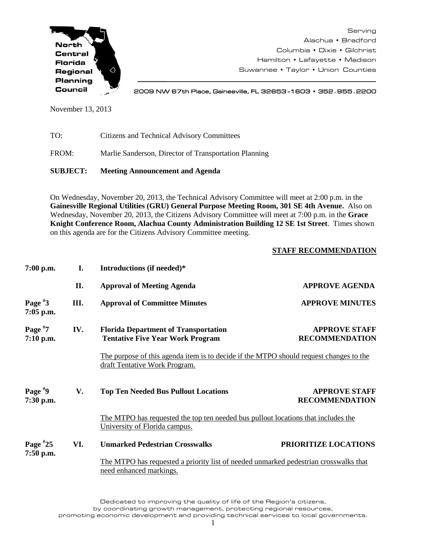

Serving Alachua • Bradford Columbia • Dixie • Gilchrist Hamilton • Lafayette • Madison Suwannee • Taylor • Union Counties

2009 NW 67th Place, Gainesville, FL 32653 -1603 • 352**.**955**.**2200

November 13, 2013

| <b>SUBJECT:</b> | <b>Meeting Announcement and Agenda</b>                |
|-----------------|-------------------------------------------------------|
| FROM:           | Marlie Sanderson, Director of Transportation Planning |
| TO:             | Citizens and Technical Advisory Committees            |

On Wednesday, November 20, 2013, the Technical Advisory Committee will meet at 2:00 p.m. in the **Gainesville Regional Utilities (GRU) General Purpose Meeting Room, 301 SE 4th Avenue.** Also on Wednesday, November 20, 2013, the Citizens Advisory Committee will meet at 7:00 p.m. in the **Grace Knight Conference Room, Alachua County Administration Building 12 SE 1st Street**. Times shown on this agenda are for the Citizens Advisory Committee meeting.

## **STAFF RECOMMENDATION**

| $7:00$ p.m.               | I.   | Introductions (if needed)*                                                                                              |                                                                                   |  |
|---------------------------|------|-------------------------------------------------------------------------------------------------------------------------|-----------------------------------------------------------------------------------|--|
|                           | П.   | <b>Approval of Meeting Agenda</b>                                                                                       | <b>APPROVE AGENDA</b>                                                             |  |
| Page $*3$<br>7:05 p.m.    | III. | <b>Approval of Committee Minutes</b>                                                                                    | <b>APPROVE MINUTES</b>                                                            |  |
| Page $*7$<br>$7:10$ p.m.  | IV.  | <b>Florida Department of Transportation</b><br><b>Tentative Five Year Work Program</b>                                  | <b>APPROVE STAFF</b><br><b>RECOMMENDATION</b>                                     |  |
|                           |      | The purpose of this agenda item is to decide if the MTPO should request changes to the<br>draft Tentative Work Program. |                                                                                   |  |
| Page $*9$<br>7:30 p.m.    | V.   | <b>Top Ten Needed Bus Pullout Locations</b>                                                                             | <b>APPROVE STAFF</b><br><b>RECOMMENDATION</b>                                     |  |
|                           |      | University of Florida campus.                                                                                           | The MTPO has requested the top ten needed bus pullout locations that includes the |  |
| Page $*25$<br>$7:50$ p.m. | VI.  | <b>Unmarked Pedestrian Crosswalks</b>                                                                                   | PRIORITIZE LOCATIONS                                                              |  |
|                           |      | The MTPO has requested a priority list of needed unmarked pedestrian crosswalks that<br>need enhanced markings.         |                                                                                   |  |